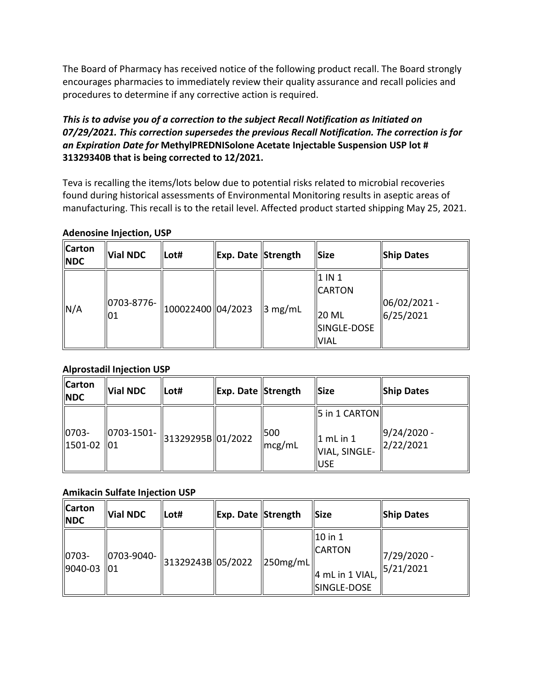The Board of Pharmacy has received notice of the following product recall. The Board strongly encourages pharmacies to immediately review their quality assurance and recall policies and procedures to determine if any corrective action is required.

### *an Expiration Date for* **MethylPREDNISolone Acetate Injectable Suspension USP lot #**  *This is to advise you of a correction to the subject Recall Notification as Initiated on 07/29/2021. This correction supersedes the previous Recall Notification. The correction is for*  **31329340B that is being corrected to 12/2021.**

 Teva is recalling the items/lots below due to potential risks related to microbial recoveries found during historical assessments of Environmental Monitoring results in aseptic areas of manufacturing. This recall is to the retail level. Affected product started shipping May 25, 2021.

#### **Adenosine Injection, USP**

| <b>Carton</b><br><b>NDC</b> | Vial NDC                 | Lot#              | <b>Exp. Date Strength</b> |                     | <b>Size</b>                                                                | <b>Ship Dates</b>             |
|-----------------------------|--------------------------|-------------------|---------------------------|---------------------|----------------------------------------------------------------------------|-------------------------------|
| N/A                         | 10703-8776-<br><b>01</b> | 100022400 04/2023 |                           | $\parallel$ 3 mg/mL | 1 IN 1<br><b>CARTON</b><br>$\parallel$ 20 ML<br>SINGLE-DOSE<br><b>VIAL</b> | $ 06/02/2021 -$<br> 6/25/2021 |

### **Alprostadil Injection USP**

| <b>Carton</b><br><b>NDC</b> | <b>Vial NDC</b>                                                 | Lot# | <b>Exp. Date Strength</b> |                                  | <b>Size</b>                                                            | <b>Ship Dates</b>              |
|-----------------------------|-----------------------------------------------------------------|------|---------------------------|----------------------------------|------------------------------------------------------------------------|--------------------------------|
| 0703-<br>1501-02            | 0703-1501-    <sub>31329295B</sub>   01/2022<br>$\parallel$ lo1 |      |                           | 1500<br>$\lfloor mcg/mL \rfloor$ | $\ 5$ in 1 CARTON $\ $<br>$1$ mL in $1$<br>VIAL, SINGLE-<br><b>USE</b> | $9/24/2020 -$<br>$\ 2/22/2021$ |

### **Amikacin Sulfate Injection USP**

| <b>Carton</b><br><b>NDC</b> | Vial NDC    | Lot#               | Exp. Date Strength |                                  | Size                                                                      | <b>Ship Dates</b>         |
|-----------------------------|-------------|--------------------|--------------------|----------------------------------|---------------------------------------------------------------------------|---------------------------|
| 0703-<br>  9040-03   01     | 10703-9040- | 31329243B  05/2022 |                    | $\parallel$ 250mg/mL $\parallel$ | $ 10$ in 1<br><b>CARTON</b><br>$\parallel$ 4 mL in 1 VIAL,<br>SINGLE-DOSE | 7/29/2020 -<br> 5/21/2021 |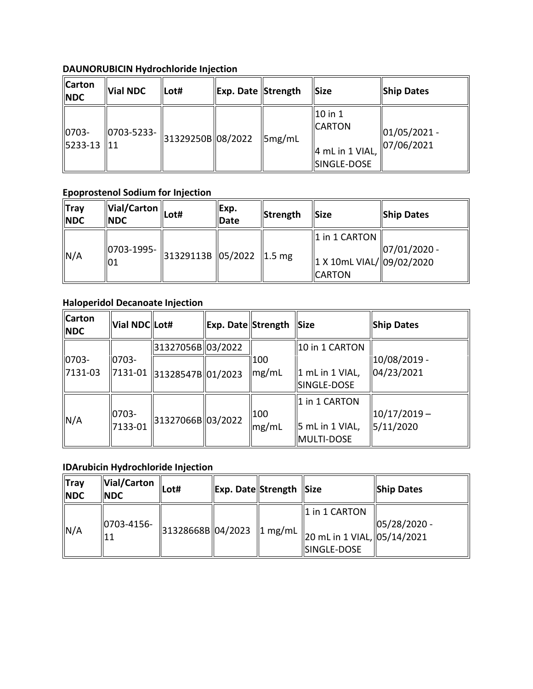# **DAUNORUBICIN Hydrochloride Injection**

| <b>Carton</b><br><b>NDC</b>                     | <b>Vial NDC</b>                              | lLot# | Exp. Date Strength |                    | <b>Size</b>                                                                    | <b>Ship Dates</b>              |
|-------------------------------------------------|----------------------------------------------|-------|--------------------|--------------------|--------------------------------------------------------------------------------|--------------------------------|
| $ 0703 -$<br>$\parallel$ 5233-13 $\parallel$ 11 | 0703-5233-    <sub>31329250B</sub>   08/2022 |       |                    | $\parallel$ 5mg/mL | $\vert$ 10 in 1<br><b>CARTON</b><br>$\parallel$ 4 mL in 1 VIAL,<br>SINGLE-DOSE | $ 01/05/2021 -$<br> 07/06/2021 |

# **Epoprostenol Sodium for Injection**

| <b>Tray</b><br><b>NDC</b> | $\ \widetilde{\mathsf{Val/Carton}}\ _{\mathsf{Lot}\#}$<br><b>NDC</b> |                                         | Exp.<br><b>Date</b> | Strength | <b>Size</b>                                                                | <b>Ship Dates</b> |
|---------------------------|----------------------------------------------------------------------|-----------------------------------------|---------------------|----------|----------------------------------------------------------------------------|-------------------|
| N/A                       | $ 0703 - 1995 -  $<br> 01                                            | $\ $ 31329113B $\ $ 05/2022 $\ $ 1.5 mg |                     |          | $\parallel$ 1 in 1 CARTON<br>  1 X 10mL VIAL/  09/02/2020<br><b>CARTON</b> | $ 07/01/2020 -$   |

# **Haloperidol Decanoate Injection**

| N/A                         | 01                     |                                        | 31329113B 05/2022 1.5 mg |              | <b>CARTON</b>                                               | 1 X 10mL VIAL/ 09/02/2020   |
|-----------------------------|------------------------|----------------------------------------|--------------------------|--------------|-------------------------------------------------------------|-----------------------------|
|                             |                        | <b>Haloperidol Decanoate Injection</b> |                          |              |                                                             |                             |
| <b>Carton</b><br><b>NDC</b> | Vial NDC Lot#          |                                        | Exp. Date Strength       |              | <b>Size</b>                                                 | <b>Ship Dates</b>           |
|                             |                        | 31327056B 03/2022                      |                          |              | 10 in 1 CARTON                                              |                             |
| 0703-<br>7131-03            | $10703 -$<br>  7131-01 | 31328547B 01/2023                      |                          | 100<br>mg/mL | $\ 1 \text{ mL in } 1 \text{ VIAL}$<br>SINGLE-DOSE          | 10/08/2019 -<br>04/23/2021  |
| N/A                         | 0703-<br>7133-01       | 31327066B 03/2022                      |                          | 100<br>mg/mL | 1 in 1 CARTON<br>$\left\vert$ 5 mL in 1 VIAL,<br>MULTI-DOSE | $10/17/2019 -$<br>5/11/2020 |

# **IDArubicin Hydrochloride Injection**

| IIVIA               | 7133-01                                   | 31327000B  U372UZZ | $\parallel$ mg/mL         | 5 mL in 1 VIAL,<br>MULTI-DOSE                               | 5/11/2020    |
|---------------------|-------------------------------------------|--------------------|---------------------------|-------------------------------------------------------------|--------------|
|                     | <b>IDArubicin Hydrochloride Injection</b> |                    |                           |                                                             |              |
| ∥Tray<br><b>NDC</b> | Vial/Carton<br><b>INDC</b>                | Lot#               | <b>Exp. Date Strength</b> | <b>Size</b>                                                 | Ship Dates   |
| N/A                 | 0703-4156-<br> 11                         | 31328668B 04/2023  | 1 mg/mL                   | 1 in 1 CARTON<br>20 mL in 1 VIAL, 05/14/2021<br>SINGLE-DOSE | 05/28/2020 - |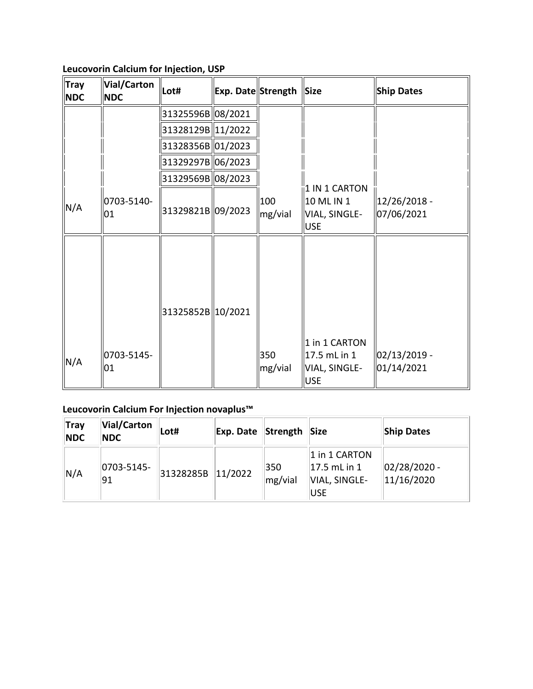**Leucovorin Calcium for Injection, USP** 

| <b>Tray</b><br><b>NDC</b> | <b>Vial/Carton</b><br><b>NDC</b> | Lot#              | Exp. Date Strength |                | <b>Size</b>                                                  | <b>Ship Dates</b>          |
|---------------------------|----------------------------------|-------------------|--------------------|----------------|--------------------------------------------------------------|----------------------------|
|                           |                                  | 31325596B 08/2021 |                    |                |                                                              |                            |
|                           |                                  | 31328129B 11/2022 |                    |                |                                                              |                            |
|                           |                                  | 31328356B 01/2023 |                    |                |                                                              |                            |
|                           |                                  | 31329297B 06/2023 |                    |                |                                                              |                            |
|                           |                                  | 31329569B 08/2023 |                    |                |                                                              |                            |
| N/A                       | 0703-5140-<br>01                 | 31329821B 09/2023 |                    | 100<br>mg/vial | 1 IN 1 CARTON<br>10 ML IN 1<br>VIAL, SINGLE-<br><b>USE</b>   | 12/26/2018 -<br>07/06/2021 |
|                           |                                  | 31325852B 10/2021 |                    |                |                                                              |                            |
| N/A                       | 0703-5145-<br>01                 |                   |                    | 350<br>mg/vial | 1 in 1 CARTON<br>17.5 mL in 1<br>VIAL, SINGLE-<br><b>USE</b> | 02/13/2019 -<br>01/14/2021 |

## **Leucovorin Calcium For Injection novaplus™**

| 01                        |           |           | $\parallel$ mg/vial                                    | VIAL, SINGLE-                                                     | 01/14/2021                   |
|---------------------------|-----------|-----------|--------------------------------------------------------|-------------------------------------------------------------------|------------------------------|
|                           |           |           |                                                        |                                                                   |                              |
| Vial/Carton<br><b>NDC</b> | Lot#      | Exp. Date | Strength                                               | <b>Size</b>                                                       | <b>Ship Dates</b>            |
| 0703-5145-<br>91          | 31328285B | 11/2022   | 350<br>mg/vial                                         | 1 in 1 CARTON<br>$ 17.5$ mL in $1$<br>VIAL, SINGLE-<br><b>USE</b> | $02/28/2020$ -<br>11/16/2020 |
|                           |           |           | Leucovorin Calcium For Injection novaplus <sup>™</sup> |                                                                   | <b>USE</b>                   |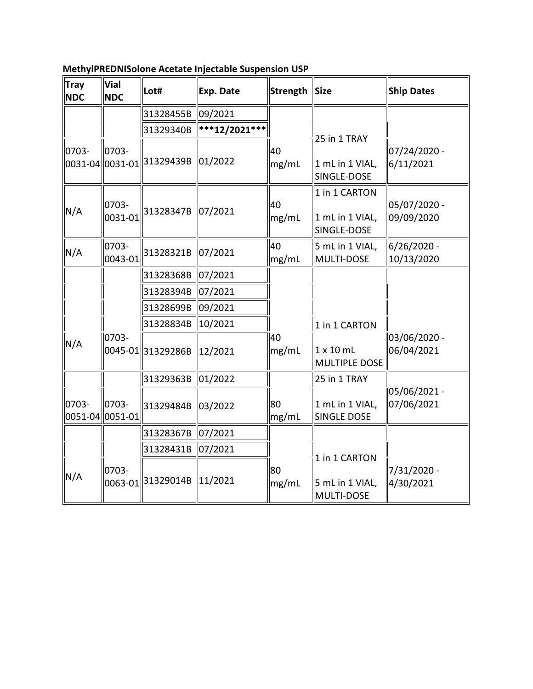| <b>Tray</b><br><b>NDC</b> | <b>Vial</b><br><b>NDC</b> | Lot#                         | <b>Exp. Date</b>    | <b>Strength</b> | <b>Size</b>                                     | <b>Ship Dates</b>          |
|---------------------------|---------------------------|------------------------------|---------------------|-----------------|-------------------------------------------------|----------------------------|
|                           |                           | 31328455B                    | 09/2021             |                 |                                                 |                            |
|                           |                           | 31329340B                    | ***12/2021***       |                 |                                                 |                            |
| 0703-<br>0031-04          | 0703-<br>0031-01          | 31329439B                    | 01/2022             | 40<br>mg/mL     | 25 in 1 TRAY<br>1 mL in 1 VIAL,<br>SINGLE-DOSE  | 07/24/2020 -<br>6/11/2021  |
| N/A                       | 0703-<br>0031-01          | 31328347B 07/2021            |                     | 40<br>mg/mL     | 1 in 1 CARTON<br>1 mL in 1 VIAL,<br>SINGLE-DOSE | 05/07/2020 -<br>09/09/2020 |
| N/A                       | 0703-<br>0043-01          | 31328321B                    | 07/2021             | 40<br>mg/mL     | 5 mL in 1 VIAL,<br>MULTI-DOSE                   | 6/26/2020 -<br>10/13/2020  |
|                           |                           | 31328368B                    | 07/2021             |                 |                                                 |                            |
|                           |                           | 31328394B                    | 07/2021             |                 |                                                 |                            |
|                           |                           | 31328699B                    | 09/2021             |                 |                                                 |                            |
|                           |                           | 31328834B                    | 10/2021             |                 | 1 in 1 CARTON                                   |                            |
| N/A                       | 0703-                     | 0045-01 31329286B            | 12/2021             | 40<br>mg/mL     | $1 \times 10$ mL<br>MULTIPLE DOSE               | 03/06/2020 -<br>06/04/2021 |
|                           |                           | 31329363B                    | 01/2022             |                 | 25 in 1 TRAY                                    |                            |
| 0703-                     | 0703-<br>0051-04 0051-01  | 31329484B                    | 03/2022             | 80<br>mg/mL     | 1 mL in 1 VIAL,<br><b>SINGLE DOSE</b>           | 05/06/2021 -<br>07/06/2021 |
|                           |                           | 31328367B                    | 07/2021             |                 |                                                 |                            |
|                           |                           | 31328431B                    | 07/2021             |                 |                                                 |                            |
| N/A                       | 0703-                     | 0063-01 <sup>31329014B</sup> | $\parallel$ 11/2021 | 80<br>mg/mL     | 1 in 1 CARTON<br>5 mL in 1 VIAL,<br>MULTI-DOSE  | 7/31/2020 -<br>4/30/2021   |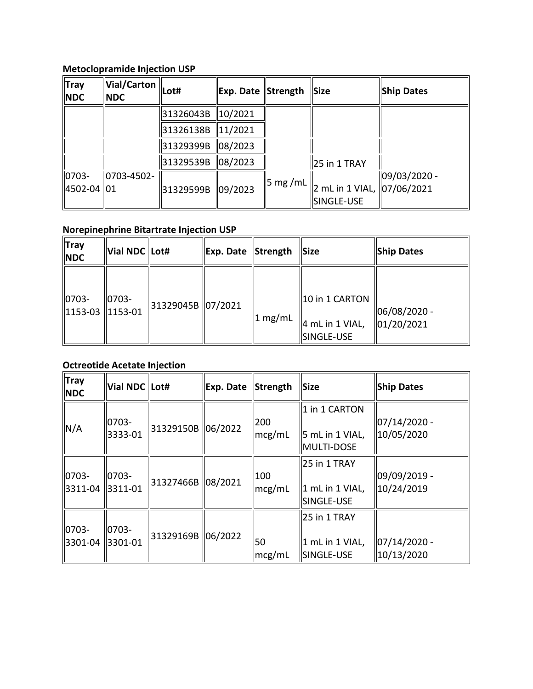# **Metoclopramide Injection USP**

|                             | <b>Metoclopramide Injection USP</b> |           |                     |         |                                          |                   |  |  |  |
|-----------------------------|-------------------------------------|-----------|---------------------|---------|------------------------------------------|-------------------|--|--|--|
| ∥Tray<br><b>NDC</b>         | Vial/Carton<br><b>INDC</b>          | Lot#      | Exp. Date Strength  |         | <b>Size</b>                              | <b>Ship Dates</b> |  |  |  |
|                             |                                     | 31326043B | $\parallel$ 10/2021 |         |                                          |                   |  |  |  |
|                             |                                     | 31326138B | 11/2021             |         |                                          |                   |  |  |  |
|                             |                                     | 31329399B | 08/2023             |         |                                          |                   |  |  |  |
|                             |                                     | 31329539B | 08/2023             |         | 25 in 1 TRAY                             |                   |  |  |  |
| $ 0703 -$<br>  4502-04   01 | $ 0703 - 4502 -$                    | 31329599B | 09/2023             | 5 mg/mL | 2 mL in 1 VIAL, 07/06/2021<br>SINGLE-USE | 09/03/2020 -      |  |  |  |

# **Norepinephrine Bitartrate Injection USP**

| $\ $ Tray<br><b>NDC</b>                                      | Vial NDC Lot# |                   | Exp. Date Strength |         | $\ Size$                                                    | <b>Ship Dates</b>           |
|--------------------------------------------------------------|---------------|-------------------|--------------------|---------|-------------------------------------------------------------|-----------------------------|
| $\parallel$ 0703-<br>$\parallel$ 1153-03 $\parallel$ 1153-01 | $ 0703 -$     | 31329045B 07/2021 |                    | 1 mg/mL | 10 in 1 CARTON<br>$\parallel$ 4 mL in 1 VIAL,<br>SINGLE-USE | 06/08/2020 -<br> 01/20/2021 |

# **Octreotide Acetate Injection**

| ∦Tray<br>Vial NDC Lot#<br>Exp. Date<br>Strength<br><b>Ship Dates</b><br>Size<br><b>NDC</b>                                                                                                 |  |
|--------------------------------------------------------------------------------------------------------------------------------------------------------------------------------------------|--|
|                                                                                                                                                                                            |  |
| 1 in 1 CARTON<br>$07/14/2020$ -<br>0703-<br>200<br>N/A<br>31329150B<br> 06/2022<br>3333-01<br>10/05/2020<br>$\vert$ 5 mL in 1 VIAL,<br>mcg/mL<br>MULTI-DOSE                                |  |
| 25 in 1 TRAY<br>09/09/2019 -<br>$ 0703 -$<br>$ 0703 -$<br>$\parallel$ 100<br>08/2021<br>31327466B<br>$\vert$ 1 mL in 1 VIAL,<br>10/24/2019<br>3311-04<br>  3311-01<br>mcg/mL<br>SINGLE-USE |  |
| 25 in 1 TRAY<br>$ 0703 -$<br>$ 0703 -$<br>31329169B<br>06/2022<br>50<br>$07/14/2020$ -<br>3301-04<br>1 mL in 1 VIAL,<br>  3301-01<br>10/13/2020<br>SINGLE-USE<br>mcg/mL                    |  |